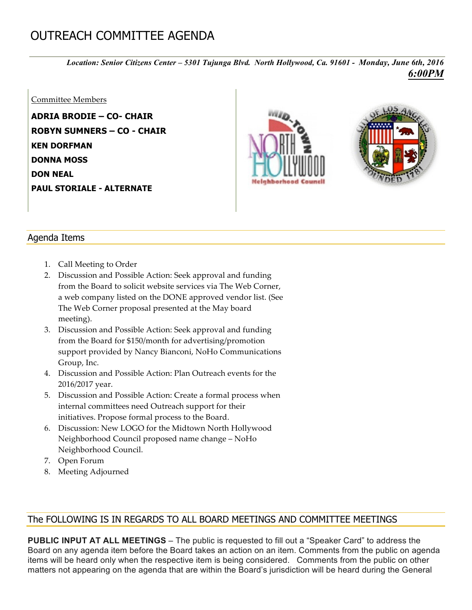## OUTREACH COMMITTEE AGENDA

*Location: Senior Citizens Center – 5301 Tujunga Blvd. North Hollywood, Ca. 91601 - Monday, June 6th, 2016 6:00PM*

## Committee Members

**ADRIA BRODIE – CO- CHAIR ROBYN SUMNERS – CO - CHAIR KEN DORFMAN DONNA MOSS DON NEAL PAUL STORIALE - ALTERNATE**





## Agenda Items

- 1. Call Meeting to Order
- 2. Discussion and Possible Action: Seek approval and funding from the Board to solicit website services via The Web Corner, a web company listed on the DONE approved vendor list. (See The Web Corner proposal presented at the May board meeting).
- 3. Discussion and Possible Action: Seek approval and funding from the Board for \$150/month for advertising/promotion support provided by Nancy Bianconi, NoHo Communications Group, Inc.
- 4. Discussion and Possible Action: Plan Outreach events for the 2016/2017 year.
- 5. Discussion and Possible Action: Create a formal process when internal committees need Outreach support for their initiatives. Propose formal process to the Board.
- 6. Discussion: New LOGO for the Midtown North Hollywood Neighborhood Council proposed name change – NoHo Neighborhood Council.
- 7. Open Forum
- 8. Meeting Adjourned

## The FOLLOWING IS IN REGARDS TO ALL BOARD MEETINGS AND COMMITTEE MEETINGS

**PUBLIC INPUT AT ALL MEETINGS** – The public is requested to fill out a "Speaker Card" to address the Board on any agenda item before the Board takes an action on an item. Comments from the public on agenda items will be heard only when the respective item is being considered. Comments from the public on other matters not appearing on the agenda that are within the Board's jurisdiction will be heard during the General